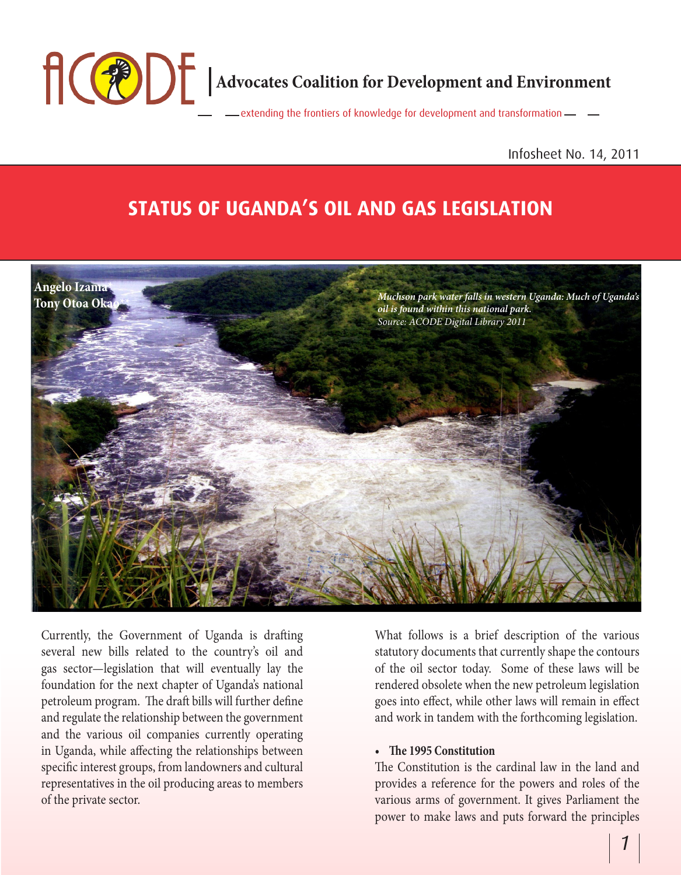

### Infosheet No. 14, 2011

# **STATUS OF UGANDA'S OIL AND GAS LEGISLATION**



Currently, the Government of Uganda is drafting several new bills related to the country's oil and gas sector—legislation that will eventually lay the foundation for the next chapter of Uganda's national petroleum program. The draft bills will further define and regulate the relationship between the government and the various oil companies currently operating in Uganda, while affecting the relationships between specific interest groups, from landowners and cultural representatives in the oil producing areas to members of the private sector.

What follows is a brief description of the various statutory documents that currently shape the contours of the oil sector today. Some of these laws will be rendered obsolete when the new petroleum legislation goes into effect, while other laws will remain in effect and work in tandem with the forthcoming legislation.

### **• The 1995 Constitution**

The Constitution is the cardinal law in the land and provides a reference for the powers and roles of the various arms of government. It gives Parliament the power to make laws and puts forward the principles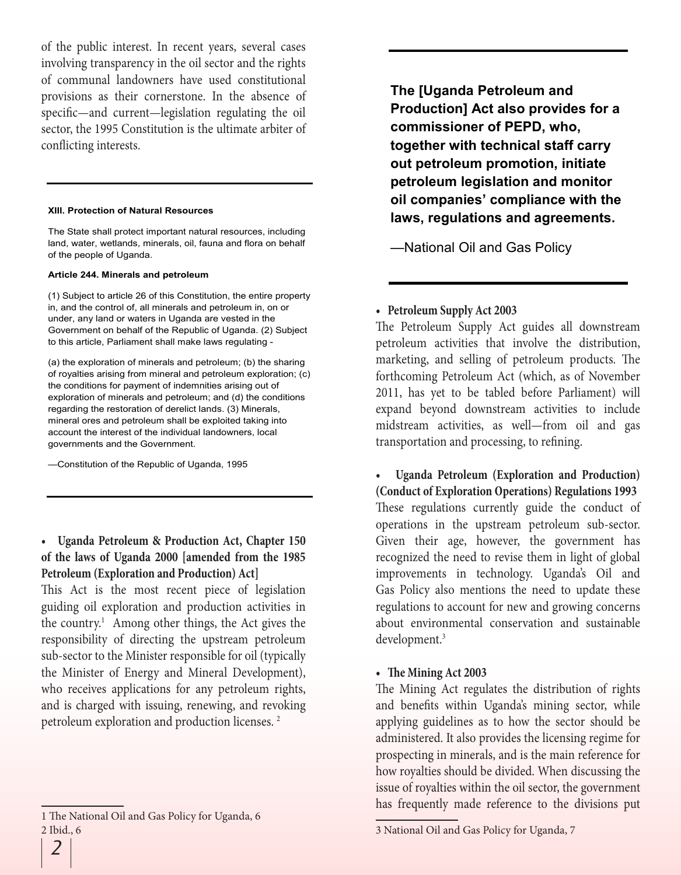of the public interest. In recent years, several cases involving transparency in the oil sector and the rights of communal landowners have used constitutional provisions as their cornerstone. In the absence of specific—and current—legislation regulating the oil sector, the 1995 Constitution is the ultimate arbiter of conflicting interests.

#### **XIII. Protection of Natural Resources**

The State shall protect important natural resources, including land, water, wetlands, minerals, oil, fauna and flora on behalf of the people of Uganda.

#### **Article 244. Minerals and petroleum**

(1) Subject to article 26 of this Constitution, the entire property in, and the control of, all minerals and petroleum in, on or under, any land or waters in Uganda are vested in the Government on behalf of the Republic of Uganda. (2) Subject to this article, Parliament shall make laws regulating -

(a) the exploration of minerals and petroleum; (b) the sharing of royalties arising from mineral and petroleum exploration; (c) the conditions for payment of indemnities arising out of exploration of minerals and petroleum; and (d) the conditions regarding the restoration of derelict lands. (3) Minerals, mineral ores and petroleum shall be exploited taking into account the interest of the individual landowners, local governments and the Government.

—Constitution of the Republic of Uganda, 1995

**• Uganda Petroleum & Production Act, Chapter 150 of the laws of Uganda 2000 [amended from the 1985 Petroleum (Exploration and Production) Act]** 

This Act is the most recent piece of legislation guiding oil exploration and production activities in the country.<sup>1</sup> Among other things, the Act gives the responsibility of directing the upstream petroleum sub-sector to the Minister responsible for oil (typically the Minister of Energy and Mineral Development), who receives applications for any petroleum rights, and is charged with issuing, renewing, and revoking petroleum exploration and production licenses. 2

**The [Uganda Petroleum and Production] Act also provides for a commissioner of PEPD, who, together with technical staff carry out petroleum promotion, initiate petroleum legislation and monitor oil companies' compliance with the laws, regulations and agreements.**

—National Oil and Gas Policy

### **• Petroleum Supply Act 2003**

The Petroleum Supply Act guides all downstream petroleum activities that involve the distribution, marketing, and selling of petroleum products. The forthcoming Petroleum Act (which, as of November 2011, has yet to be tabled before Parliament) will expand beyond downstream activities to include midstream activities, as well—from oil and gas transportation and processing, to refining.

**• Uganda Petroleum (Exploration and Production) (Conduct of Exploration Operations) Regulations 1993** These regulations currently guide the conduct of operations in the upstream petroleum sub-sector. Given their age, however, the government has recognized the need to revise them in light of global improvements in technology. Uganda's Oil and Gas Policy also mentions the need to update these regulations to account for new and growing concerns about environmental conservation and sustainable development.3

### **• The Mining Act 2003**

The Mining Act regulates the distribution of rights and benefits within Uganda's mining sector, while applying guidelines as to how the sector should be administered. It also provides the licensing regime for prospecting in minerals, and is the main reference for how royalties should be divided. When discussing the issue of royalties within the oil sector, the government has frequently made reference to the divisions put

<sup>1</sup> The National Oil and Gas Policy for Uganda, 6 2 Ibid., 6

<sup>3</sup> National Oil and Gas Policy for Uganda, 7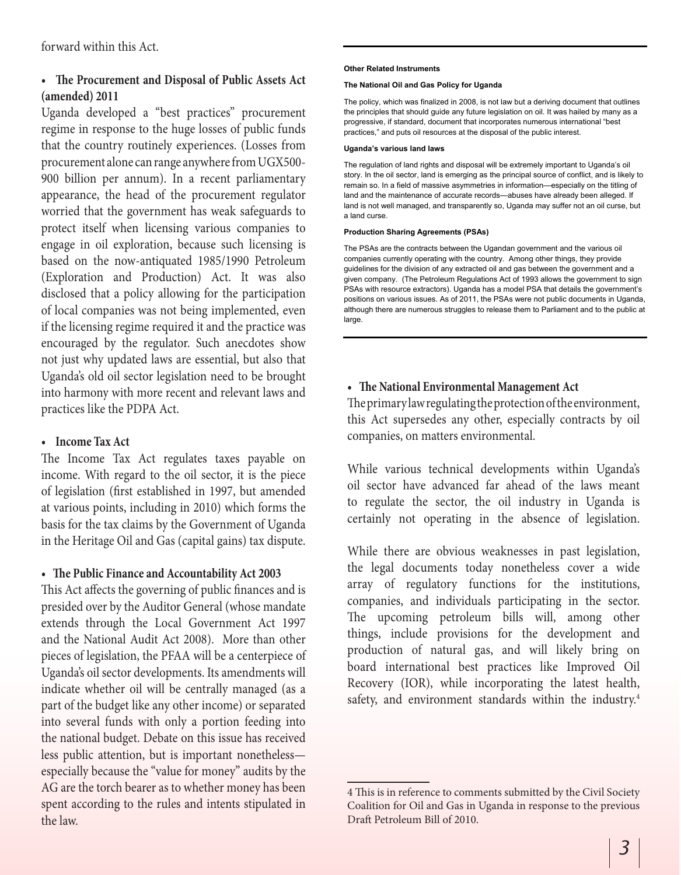### **• The Procurement and Disposal of Public Assets Act (amended) 2011**

Uganda developed a "best practices" procurement regime in response to the huge losses of public funds that the country routinely experiences. (Losses from procurement alone can range anywhere from UGX500- 900 billion per annum). In a recent parliamentary appearance, the head of the procurement regulator worried that the government has weak safeguards to protect itself when licensing various companies to engage in oil exploration, because such licensing is based on the now-antiquated 1985/1990 Petroleum (Exploration and Production) Act. It was also disclosed that a policy allowing for the participation of local companies was not being implemented, even if the licensing regime required it and the practice was encouraged by the regulator. Such anecdotes show not just why updated laws are essential, but also that Uganda's old oil sector legislation need to be brought into harmony with more recent and relevant laws and practices like the PDPA Act.

### **• Income Tax Act**

The Income Tax Act regulates taxes payable on income. With regard to the oil sector, it is the piece of legislation (first established in 1997, but amended at various points, including in 2010) which forms the basis for the tax claims by the Government of Uganda in the Heritage Oil and Gas (capital gains) tax dispute.

### **• The Public Finance and Accountability Act 2003**

This Act affects the governing of public finances and is presided over by the Auditor General (whose mandate extends through the Local Government Act 1997 and the National Audit Act 2008). More than other pieces of legislation, the PFAA will be a centerpiece of Uganda's oil sector developments. Its amendments will indicate whether oil will be centrally managed (as a part of the budget like any other income) or separated into several funds with only a portion feeding into the national budget. Debate on this issue has received less public attention, but is important nonetheless especially because the "value for money" audits by the AG are the torch bearer as to whether money has been spent according to the rules and intents stipulated in the law.

#### **Other Related Instruments**

#### **The National Oil and Gas Policy for Uganda**

The policy, which was finalized in 2008, is not law but a deriving document that outlines the principles that should guide any future legislation on oil. It was hailed by many as a progressive, if standard, document that incorporates numerous international "best practices," and puts oil resources at the disposal of the public interest.

#### **Uganda's various land laws**

The regulation of land rights and disposal will be extremely important to Uganda's oil story. In the oil sector, land is emerging as the principal source of conflict, and is likely to remain so. In a field of massive asymmetries in information—especially on the titling of land and the maintenance of accurate records—abuses have already been alleged. If land is not well managed, and transparently so, Uganda may suffer not an oil curse, but a land curse.

### **Production Sharing Agreements (PSAs)**

The PSAs are the contracts between the Ugandan government and the various oil companies currently operating with the country. Among other things, they provide guidelines for the division of any extracted oil and gas between the government and a given company. (The Petroleum Regulations Act of 1993 allows the government to sign PSAs with resource extractors). Uganda has a model PSA that details the government's positions on various issues. As of 2011, the PSAs were not public documents in Uganda, although there are numerous struggles to release them to Parliament and to the public at large.

### **• The National Environmental Management Act**

The primary law regulating the protection of the environment, this Act supersedes any other, especially contracts by oil companies, on matters environmental.

While various technical developments within Uganda's oil sector have advanced far ahead of the laws meant to regulate the sector, the oil industry in Uganda is certainly not operating in the absence of legislation.

While there are obvious weaknesses in past legislation, the legal documents today nonetheless cover a wide array of regulatory functions for the institutions, companies, and individuals participating in the sector. The upcoming petroleum bills will, among other things, include provisions for the development and production of natural gas, and will likely bring on board international best practices like Improved Oil Recovery (IOR), while incorporating the latest health, safety, and environment standards within the industry.<sup>4</sup>

<sup>4</sup> This is in reference to comments submitted by the Civil Society Coalition for Oil and Gas in Uganda in response to the previous Draft Petroleum Bill of 2010.